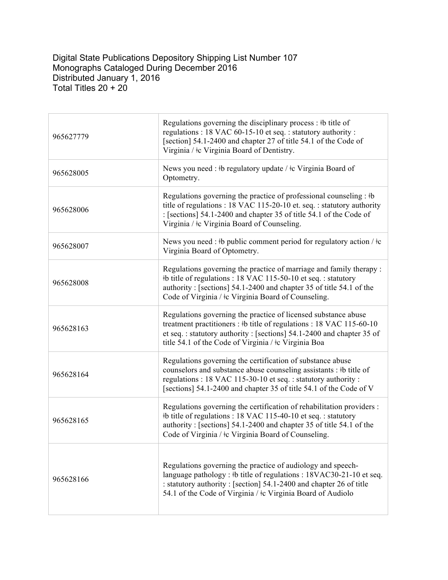Digital State Publications Depository Shipping List Number 107 Monographs Cataloged During December 2016 Distributed January 1, 2016 Total Titles 20 + 20

| 965627779 | Regulations governing the disciplinary process: #b title of<br>regulations : 18 VAC 60-15-10 et seq. : statutory authority :<br>[section] 54.1-2400 and chapter 27 of title 54.1 of the Code of<br>Virginia / $\pm c$ Virginia Board of Dentistry.                         |
|-----------|----------------------------------------------------------------------------------------------------------------------------------------------------------------------------------------------------------------------------------------------------------------------------|
| 965628005 | News you need : $\frac{1}{2}$ b regulatory update / $\frac{1}{2}$ c Virginia Board of<br>Optometry.                                                                                                                                                                        |
| 965628006 | Regulations governing the practice of professional counseling : #b<br>title of regulations : 18 VAC 115-20-10 et. seq. : statutory authority<br>: [sections] 54.1-2400 and chapter 35 of title 54.1 of the Code of<br>Virginia / ‡c Virginia Board of Counseling.          |
| 965628007 | News you need : #b public comment period for regulatory action / $\pm c$<br>Virginia Board of Optometry.                                                                                                                                                                   |
| 965628008 | Regulations governing the practice of marriage and family therapy:<br>#b title of regulations : 18 VAC 115-50-10 et seq. : statutory<br>authority: [sections] 54.1-2400 and chapter 35 of title 54.1 of the<br>Code of Virginia / $\pm c$ Virginia Board of Counseling.    |
| 965628163 | Regulations governing the practice of licensed substance abuse<br>treatment practitioners : #b title of regulations : 18 VAC 115-60-10<br>et seq.: statutory authority: [sections] 54.1-2400 and chapter 35 of<br>title 54.1 of the Code of Virginia / ‡c Virginia Boa     |
| 965628164 | Regulations governing the certification of substance abuse<br>counselors and substance abuse counseling assistants : #b title of<br>regulations : 18 VAC 115-30-10 et seq. : statutory authority :<br>[sections] 54.1-2400 and chapter 35 of title 54.1 of the Code of V   |
| 965628165 | Regulations governing the certification of rehabilitation providers :<br>#b title of regulations : 18 VAC 115-40-10 et seq. : statutory<br>authority: [sections] 54.1-2400 and chapter 35 of title 54.1 of the<br>Code of Virginia / $\pm c$ Virginia Board of Counseling. |
| 965628166 | Regulations governing the practice of audiology and speech-<br>language pathology : #b title of regulations : 18VAC30-21-10 et seq.<br>: statutory authority : [section] 54.1-2400 and chapter 26 of title<br>54.1 of the Code of Virginia / ‡c Virginia Board of Audiolo  |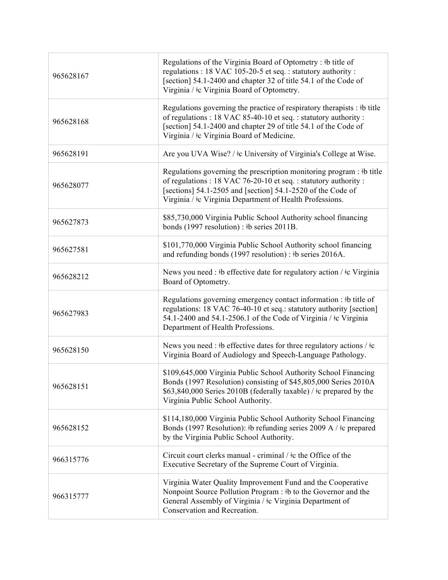| 965628167 | Regulations of the Virginia Board of Optometry: #b title of<br>regulations : 18 VAC 105-20-5 et seq. : statutory authority :<br>[section] 54.1-2400 and chapter 32 of title 54.1 of the Code of<br>Virginia / $\pm c$ Virginia Board of Optometry.                       |
|-----------|--------------------------------------------------------------------------------------------------------------------------------------------------------------------------------------------------------------------------------------------------------------------------|
| 965628168 | Regulations governing the practice of respiratory therapists : #b title<br>of regulations : 18 VAC 85-40-10 et seq. : statutory authority :<br>[section] 54.1-2400 and chapter 29 of title 54.1 of the Code of<br>Virginia / $\pm c$ Virginia Board of Medicine.         |
| 965628191 | Are you UVA Wise? / $\pm c$ University of Virginia's College at Wise.                                                                                                                                                                                                    |
| 965628077 | Regulations governing the prescription monitoring program : #b title<br>of regulations : 18 VAC 76-20-10 et seq. : statutory authority :<br>[sections] 54.1-2505 and [section] 54.1-2520 of the Code of<br>Virginia / $\pm c$ Virginia Department of Health Professions. |
| 965627873 | \$85,730,000 Virginia Public School Authority school financing<br>bonds (1997 resolution) : #b series 2011B.                                                                                                                                                             |
| 965627581 | \$101,770,000 Virginia Public School Authority school financing<br>and refunding bonds (1997 resolution) : #b series 2016A.                                                                                                                                              |
| 965628212 | News you need : #b effective date for regulatory action / #c Virginia<br>Board of Optometry.                                                                                                                                                                             |
| 965627983 | Regulations governing emergency contact information : #b title of<br>regulations: 18 VAC 76-40-10 et seq.: statutory authority [section]<br>54.1-2400 and 54.1-2506.1 of the Code of Virginia / ‡c Virginia<br>Department of Health Professions.                         |
| 965628150 | News you need : #b effective dates for three regulatory actions / $\pm c$<br>Virginia Board of Audiology and Speech-Language Pathology.                                                                                                                                  |
| 965628151 | \$109,645,000 Virginia Public School Authority School Financing<br>Bonds (1997 Resolution) consisting of \$45,805,000 Series 2010A<br>\$63,840,000 Series 2010B (federally taxable) / ‡c prepared by the<br>Virginia Public School Authority.                            |
| 965628152 | \$114,180,000 Virginia Public School Authority School Financing<br>Bonds (1997 Resolution): #b refunding series 2009 A / $\pm$ c prepared<br>by the Virginia Public School Authority.                                                                                    |
| 966315776 | Circuit court clerks manual - criminal / $\pm$ c the Office of the<br>Executive Secretary of the Supreme Court of Virginia.                                                                                                                                              |
| 966315777 | Virginia Water Quality Improvement Fund and the Cooperative<br>Nonpoint Source Pollution Program : #b to the Governor and the<br>General Assembly of Virginia / ‡c Virginia Department of<br>Conservation and Recreation.                                                |